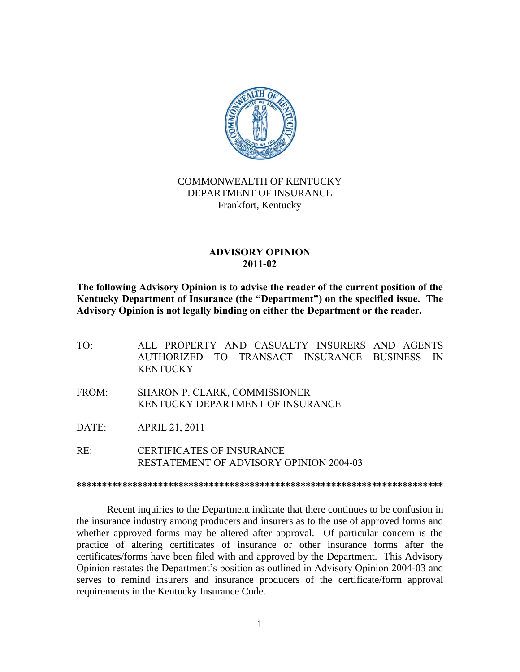

## COMMONWEALTH OF KENTUCKY DEPARTMENT OF INSURANCE Frankfort, Kentucky

## **ADVISORY OPINION 2011-02**

**The following Advisory Opinion is to advise the reader of the current position of the Kentucky Department of Insurance (the "Department") on the specified issue. The Advisory Opinion is not legally binding on either the Department or the reader.**

TO: ALL PROPERTY AND CASUALTY INSURERS AND AGENTS AUTHORIZED TO TRANSACT INSURANCE BUSINESS IN **KENTUCKY** FROM: SHARON P. CLARK, COMMISSIONER KENTUCKY DEPARTMENT OF INSURANCE DATE: APRIL 21, 2011

RE: CERTIFICATES OF INSURANCE RESTATEMENT OF ADVISORY OPINION 2004-03

**\*\*\*\*\*\*\*\*\*\*\*\*\*\*\*\*\*\*\*\*\*\*\*\*\*\*\*\*\*\*\*\*\*\*\*\*\*\*\*\*\*\*\*\*\*\*\*\*\*\*\*\*\*\*\*\*\*\*\*\*\*\*\*\*\*\*\*\*\*\*\*\***

Recent inquiries to the Department indicate that there continues to be confusion in the insurance industry among producers and insurers as to the use of approved forms and whether approved forms may be altered after approval. Of particular concern is the practice of altering certificates of insurance or other insurance forms after the certificates/forms have been filed with and approved by the Department. This Advisory Opinion restates the Department's position as outlined in Advisory Opinion 2004-03 and serves to remind insurers and insurance producers of the certificate/form approval requirements in the Kentucky Insurance Code.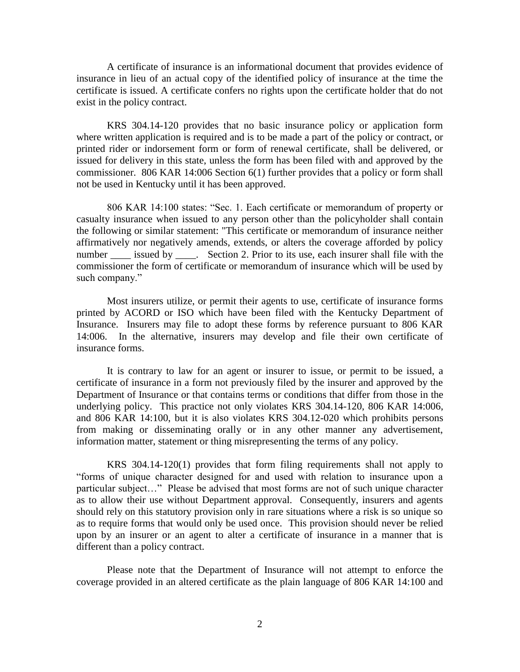A certificate of insurance is an informational document that provides evidence of insurance in lieu of an actual copy of the identified policy of insurance at the time the certificate is issued. A certificate confers no rights upon the certificate holder that do not exist in the policy contract.

KRS 304.14-120 provides that no basic insurance policy or application form where written application is required and is to be made a part of the policy or contract, or printed rider or indorsement form or form of renewal certificate, shall be delivered, or issued for delivery in this state, unless the form has been filed with and approved by the commissioner. 806 KAR 14:006 Section 6(1) further provides that a policy or form shall not be used in Kentucky until it has been approved.

806 KAR 14:100 states: "Sec. 1. Each certificate or memorandum of property or casualty insurance when issued to any person other than the policyholder shall contain the following or similar statement: "This certificate or memorandum of insurance neither affirmatively nor negatively amends, extends, or alters the coverage afforded by policy number \_\_\_\_\_ issued by \_\_\_\_. Section 2. Prior to its use, each insurer shall file with the commissioner the form of certificate or memorandum of insurance which will be used by such company."

Most insurers utilize, or permit their agents to use, certificate of insurance forms printed by ACORD or ISO which have been filed with the Kentucky Department of Insurance. Insurers may file to adopt these forms by reference pursuant to 806 KAR 14:006. In the alternative, insurers may develop and file their own certificate of insurance forms.

It is contrary to law for an agent or insurer to issue, or permit to be issued, a certificate of insurance in a form not previously filed by the insurer and approved by the Department of Insurance or that contains terms or conditions that differ from those in the underlying policy. This practice not only violates KRS 304.14-120, 806 KAR 14:006, and 806 KAR 14:100, but it is also violates KRS 304.12-020 which prohibits persons from making or disseminating orally or in any other manner any advertisement, information matter, statement or thing misrepresenting the terms of any policy.

KRS 304.14-120(1) provides that form filing requirements shall not apply to "forms of unique character designed for and used with relation to insurance upon a particular subject…" Please be advised that most forms are not of such unique character as to allow their use without Department approval. Consequently, insurers and agents should rely on this statutory provision only in rare situations where a risk is so unique so as to require forms that would only be used once. This provision should never be relied upon by an insurer or an agent to alter a certificate of insurance in a manner that is different than a policy contract.

Please note that the Department of Insurance will not attempt to enforce the coverage provided in an altered certificate as the plain language of 806 KAR 14:100 and